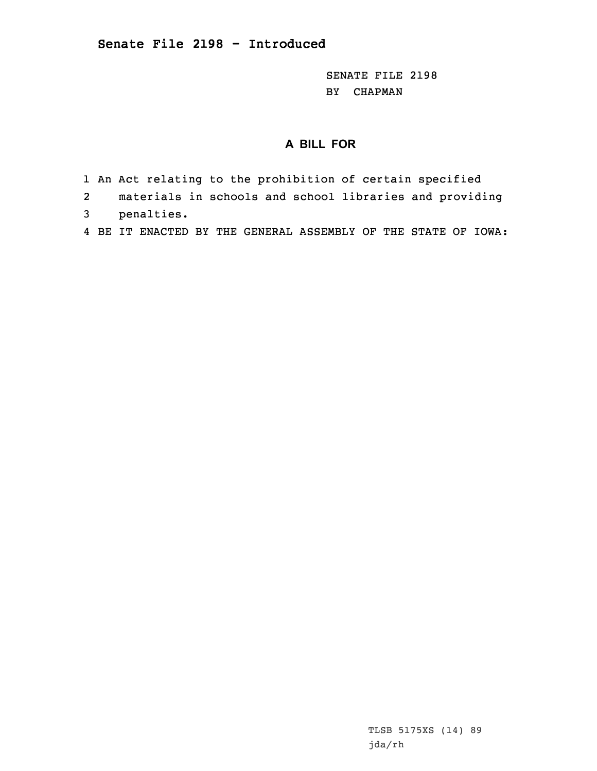SENATE FILE 2198 BY CHAPMAN

## **A BILL FOR**

- 1 An Act relating to the prohibition of certain specified
- 2materials in schools and school libraries and providing
- 3 penalties.
- 4 BE IT ENACTED BY THE GENERAL ASSEMBLY OF THE STATE OF IOWA: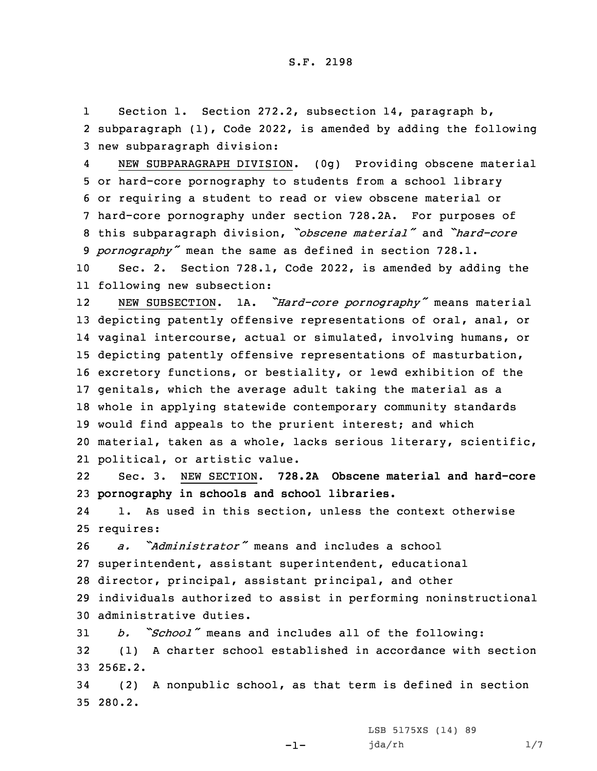1 Section 1. Section 272.2, subsection 14, paragraph b, 2 subparagraph (1), Code 2022, is amended by adding the following 3 new subparagraph division:

4 NEW SUBPARAGRAPH DIVISION. (0g) Providing obscene material or hard-core pornography to students from <sup>a</sup> school library or requiring <sup>a</sup> student to read or view obscene material or hard-core pornography under section 728.2A. For purposes of this subparagraph division, *"obscene material"* and *"hard-core pornography"* mean the same as defined in section 728.1.

10 Sec. 2. Section 728.1, Code 2022, is amended by adding the 11 following new subsection:

12 NEW SUBSECTION. 1A. *"Hard-core pornography"* means material depicting patently offensive representations of oral, anal, or vaginal intercourse, actual or simulated, involving humans, or depicting patently offensive representations of masturbation, excretory functions, or bestiality, or lewd exhibition of the genitals, which the average adult taking the material as <sup>a</sup> whole in applying statewide contemporary community standards would find appeals to the prurient interest; and which material, taken as <sup>a</sup> whole, lacks serious literary, scientific, political, or artistic value.

22 Sec. 3. NEW SECTION. **728.2A Obscene material and hard-core** 23 **pornography in schools and school libraries.**

24 1. As used in this section, unless the context otherwise 25 requires:

 *a. "Administrator"* means and includes <sup>a</sup> school superintendent, assistant superintendent, educational director, principal, assistant principal, and other individuals authorized to assist in performing noninstructional administrative duties.

<sup>31</sup> *b. "School"* means and includes all of the following: 32 (1) <sup>A</sup> charter school established in accordance with section 33 256E.2.

34 (2) <sup>A</sup> nonpublic school, as that term is defined in section 35 280.2.

-1-

LSB 5175XS (14) 89 jda/rh 1/7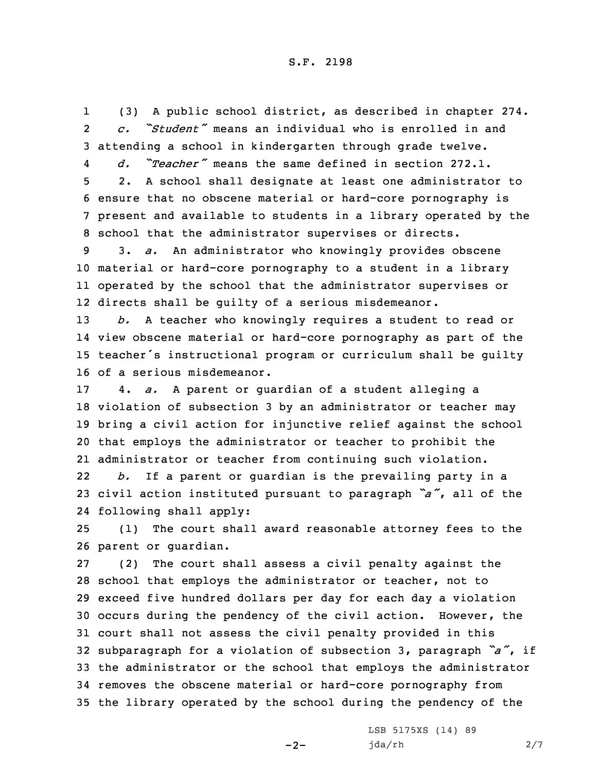1 (3) <sup>A</sup> public school district, as described in chapter 274. 2 *c. "Student"* means an individual who is enrolled in and 3 attending <sup>a</sup> school in kindergarten through grade twelve.

4 *d. "Teacher"* means the same defined in section 272.1. 5 2. <sup>A</sup> school shall designate at least one administrator to 6 ensure that no obscene material or hard-core pornography is 7 present and available to students in <sup>a</sup> library operated by the

8 school that the administrator supervises or directs.

 3. *a.* An administrator who knowingly provides obscene material or hard-core pornography to <sup>a</sup> student in <sup>a</sup> library operated by the school that the administrator supervises or directs shall be guilty of <sup>a</sup> serious misdemeanor.

 *b.* <sup>A</sup> teacher who knowingly requires <sup>a</sup> student to read or view obscene material or hard-core pornography as part of the teacher's instructional program or curriculum shall be guilty of <sup>a</sup> serious misdemeanor.

 4. *a.* <sup>A</sup> parent or guardian of <sup>a</sup> student alleging <sup>a</sup> violation of subsection 3 by an administrator or teacher may bring <sup>a</sup> civil action for injunctive relief against the school that employs the administrator or teacher to prohibit the administrator or teacher from continuing such violation.

22 *b.* If <sup>a</sup> parent or guardian is the prevailing party in <sup>a</sup> <sup>23</sup> civil action instituted pursuant to paragraph *"a"*, all of the 24 following shall apply:

25 (1) The court shall award reasonable attorney fees to the 26 parent or guardian.

 (2) The court shall assess <sup>a</sup> civil penalty against the school that employs the administrator or teacher, not to exceed five hundred dollars per day for each day <sup>a</sup> violation occurs during the pendency of the civil action. However, the court shall not assess the civil penalty provided in this subparagraph for <sup>a</sup> violation of subsection 3, paragraph *"a"*, if the administrator or the school that employs the administrator removes the obscene material or hard-core pornography from the library operated by the school during the pendency of the

 $-2-$ 

LSB 5175XS (14) 89 jda/rh 2/7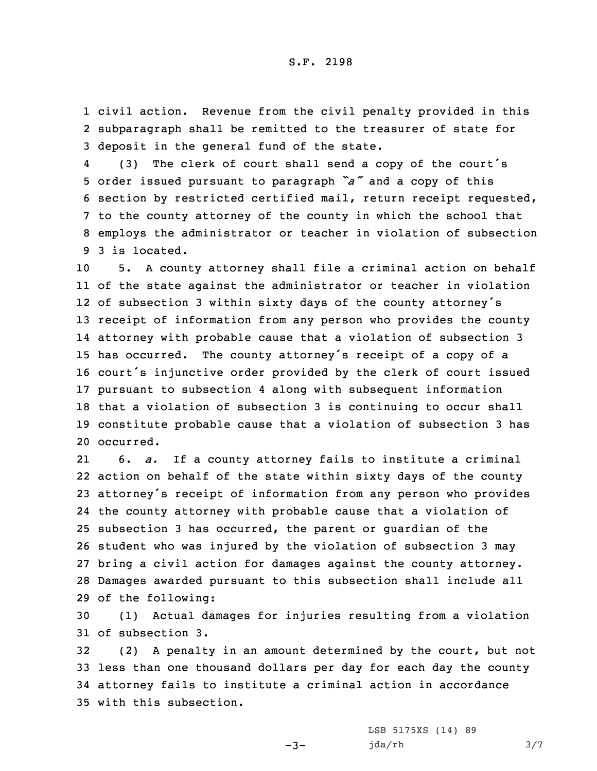1 civil action. Revenue from the civil penalty provided in this 2 subparagraph shall be remitted to the treasurer of state for 3 deposit in the general fund of the state.

4 (3) The clerk of court shall send <sup>a</sup> copy of the court's order issued pursuant to paragraph *"a"* and <sup>a</sup> copy of this section by restricted certified mail, return receipt requested, to the county attorney of the county in which the school that employs the administrator or teacher in violation of subsection 3 is located.

 5. <sup>A</sup> county attorney shall file <sup>a</sup> criminal action on behalf of the state against the administrator or teacher in violation of subsection <sup>3</sup> within sixty days of the county attorney's receipt of information from any person who provides the county attorney with probable cause that <sup>a</sup> violation of subsection 3 has occurred. The county attorney's receipt of <sup>a</sup> copy of <sup>a</sup> court's injunctive order provided by the clerk of court issued pursuant to subsection 4 along with subsequent information that <sup>a</sup> violation of subsection 3 is continuing to occur shall constitute probable cause that <sup>a</sup> violation of subsection 3 has occurred.

21 6. *a.* If <sup>a</sup> county attorney fails to institute <sup>a</sup> criminal action on behalf of the state within sixty days of the county attorney's receipt of information from any person who provides the county attorney with probable cause that <sup>a</sup> violation of subsection 3 has occurred, the parent or guardian of the student who was injured by the violation of subsection 3 may bring <sup>a</sup> civil action for damages against the county attorney. Damages awarded pursuant to this subsection shall include all of the following:

30 (1) Actual damages for injuries resulting from <sup>a</sup> violation 31 of subsection 3.

 (2) <sup>A</sup> penalty in an amount determined by the court, but not less than one thousand dollars per day for each day the county attorney fails to institute <sup>a</sup> criminal action in accordance with this subsection.

 $-3-$ 

LSB 5175XS (14) 89 jda/rh 3/7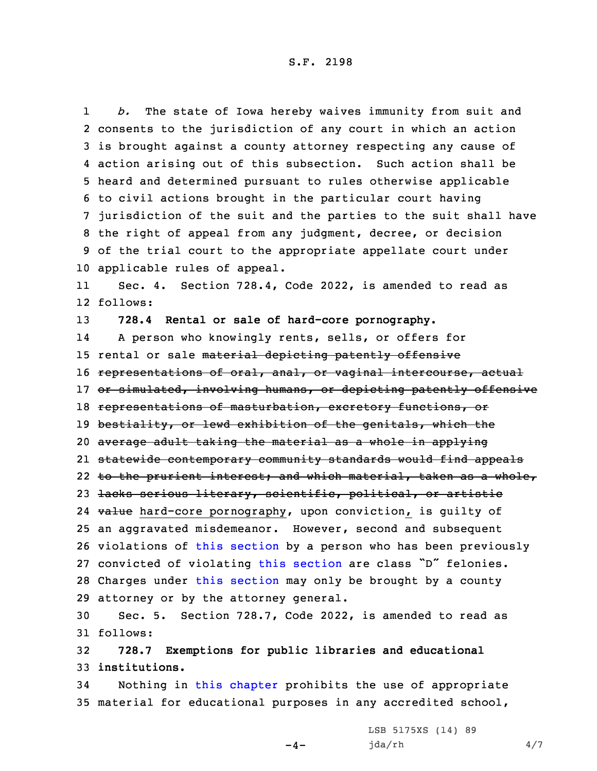S.F. 2198

1 *b.* The state of Iowa hereby waives immunity from suit and consents to the jurisdiction of any court in which an action is brought against <sup>a</sup> county attorney respecting any cause of action arising out of this subsection. Such action shall be heard and determined pursuant to rules otherwise applicable to civil actions brought in the particular court having jurisdiction of the suit and the parties to the suit shall have the right of appeal from any judgment, decree, or decision of the trial court to the appropriate appellate court under applicable rules of appeal.

11 Sec. 4. Section 728.4, Code 2022, is amended to read as 12 follows:

 **728.4 Rental or sale of hard-core pornography.** 14 <sup>A</sup> person who knowingly rents, sells, or offers for 15 rental or sale material depicting patently offensive 16 representations of oral, anal, or vaginal intercourse, actual 17 or simulated, involving humans, or depicting patently offensive representations of masturbation, excretory functions, or 19 bestiality, or lewd exhibition of the genitals, which the average adult taking the material as <sup>a</sup> whole in applying statewide contemporary community standards would find appeals to the prurient interest; and which material, taken as <sup>a</sup> whole, lacks serious literary, scientific, political, or artistic 24 <del>value</del> hard-core pornography, upon conviction, is guilty of an aggravated misdemeanor. However, second and subsequent violations of this [section](https://www.legis.iowa.gov/docs/code/2022/728.4.pdf) by <sup>a</sup> person who has been previously convicted of violating this [section](https://www.legis.iowa.gov/docs/code/2022/728.4.pdf) are class "D" felonies. Charges under this [section](https://www.legis.iowa.gov/docs/code/2022/728.4.pdf) may only be brought by <sup>a</sup> county attorney or by the attorney general.

30 Sec. 5. Section 728.7, Code 2022, is amended to read as 31 follows:

32 **728.7 Exemptions for public libraries and educational** 33 **institutions.**

34 Nothing in this [chapter](https://www.legis.iowa.gov/docs/code/2022/728.pdf) prohibits the use of appropriate 35 material for educational purposes in any accredited school,

 $-4-$ 

LSB 5175XS (14) 89 jda/rh 4/7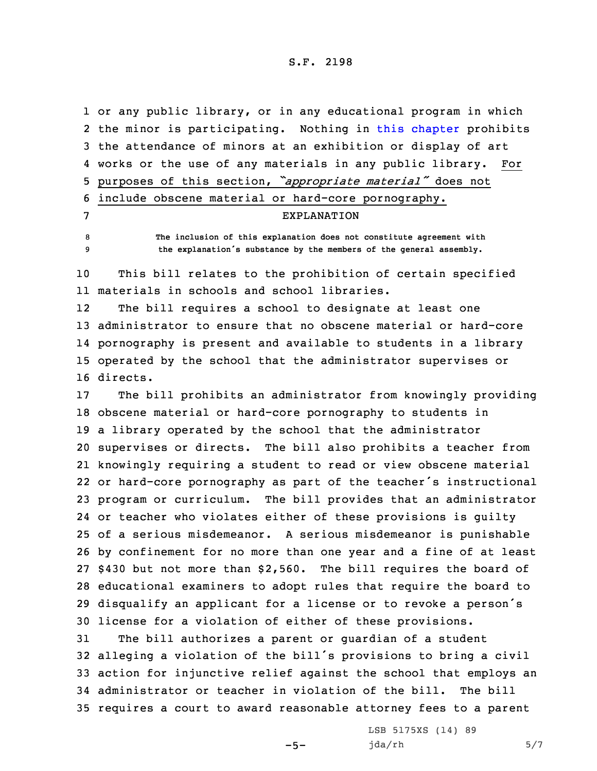S.F. 2198

 or any public library, or in any educational program in which 2 the minor is participating. Nothing in this [chapter](https://www.legis.iowa.gov/docs/code/2022/728.pdf) prohibits the attendance of minors at an exhibition or display of art works or the use of any materials in any public library. For purposes of this section, *"appropriate material"* does not include obscene material or hard-core pornography. EXPLANATION **The inclusion of this explanation does not constitute agreement with the explanation's substance by the members of the general assembly.**

10 This bill relates to the prohibition of certain specified 11 materials in schools and school libraries.

12The bill requires a school to designate at least one 13 administrator to ensure that no obscene material or hard-core 14 pornography is present and available to students in <sup>a</sup> library 15 operated by the school that the administrator supervises or 16 directs.

 The bill prohibits an administrator from knowingly providing obscene material or hard-core pornography to students in <sup>a</sup> library operated by the school that the administrator supervises or directs. The bill also prohibits <sup>a</sup> teacher from knowingly requiring <sup>a</sup> student to read or view obscene material or hard-core pornography as part of the teacher's instructional program or curriculum. The bill provides that an administrator or teacher who violates either of these provisions is guilty of <sup>a</sup> serious misdemeanor. <sup>A</sup> serious misdemeanor is punishable by confinement for no more than one year and <sup>a</sup> fine of at least \$430 but not more than \$2,560. The bill requires the board of educational examiners to adopt rules that require the board to disqualify an applicant for <sup>a</sup> license or to revoke <sup>a</sup> person's license for <sup>a</sup> violation of either of these provisions.

 The bill authorizes <sup>a</sup> parent or guardian of <sup>a</sup> student alleging <sup>a</sup> violation of the bill's provisions to bring <sup>a</sup> civil action for injunctive relief against the school that employs an administrator or teacher in violation of the bill. The bill requires <sup>a</sup> court to award reasonable attorney fees to <sup>a</sup> parent

 $-5-$ 

LSB 5175XS (14) 89  $jda/rh$  5/7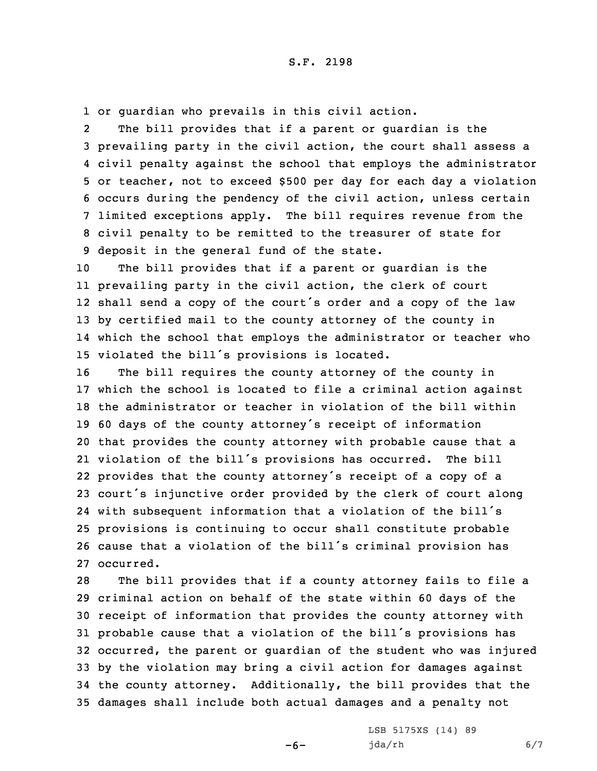1 or guardian who prevails in this civil action.

2 The bill provides that if <sup>a</sup> parent or guardian is the prevailing party in the civil action, the court shall assess <sup>a</sup> civil penalty against the school that employs the administrator or teacher, not to exceed \$500 per day for each day <sup>a</sup> violation occurs during the pendency of the civil action, unless certain limited exceptions apply. The bill requires revenue from the civil penalty to be remitted to the treasurer of state for deposit in the general fund of the state.

 The bill provides that if <sup>a</sup> parent or guardian is the prevailing party in the civil action, the clerk of court shall send <sup>a</sup> copy of the court's order and <sup>a</sup> copy of the law by certified mail to the county attorney of the county in which the school that employs the administrator or teacher who violated the bill's provisions is located.

 The bill requires the county attorney of the county in which the school is located to file <sup>a</sup> criminal action against the administrator or teacher in violation of the bill within <sup>60</sup> days of the county attorney's receipt of information that provides the county attorney with probable cause that <sup>a</sup> violation of the bill's provisions has occurred. The bill provides that the county attorney's receipt of <sup>a</sup> copy of <sup>a</sup> court's injunctive order provided by the clerk of court along with subsequent information that <sup>a</sup> violation of the bill's provisions is continuing to occur shall constitute probable cause that <sup>a</sup> violation of the bill's criminal provision has occurred.

 The bill provides that if <sup>a</sup> county attorney fails to file <sup>a</sup> criminal action on behalf of the state within 60 days of the receipt of information that provides the county attorney with probable cause that <sup>a</sup> violation of the bill's provisions has occurred, the parent or guardian of the student who was injured by the violation may bring <sup>a</sup> civil action for damages against the county attorney. Additionally, the bill provides that the damages shall include both actual damages and <sup>a</sup> penalty not

 $-6-$ 

LSB 5175XS (14) 89 jda/rh 6/7